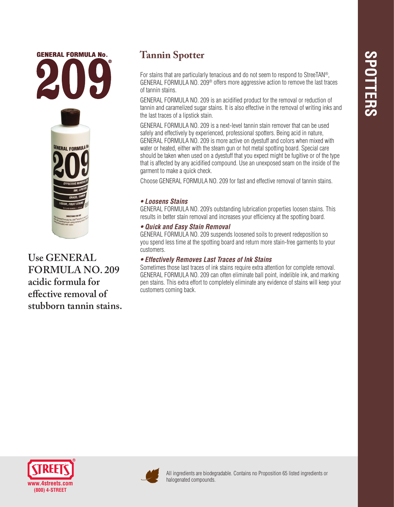

**Use GENERAL FORMULA NO. 209 acidic formula for effective removal of stubborn tannin stains.**

# **Tannin Spotter**

For stains that are particularly tenacious and do not seem to respond to StreeTAN®, GENERAL FORMULA NO. 209® offers more aggressive action to remove the last traces of tannin stains.

GENERAL FORMULA NO. 209 is an acidified product for the removal or reduction of tannin and caramelized sugar stains. It is also effective in the removal of writing inks and the last traces of a lipstick stain.

GENERAL FORMULA NO. 209 is a next-level tannin stain remover that can be used safely and effectively by experienced, professional spotters. Being acid in nature, GENERAL FORMULA NO. 209 is more active on dyestuff and colors when mixed with water or heated, either with the steam gun or hot metal spotting board. Special care should be taken when used on a dyestuff that you expect might be fugitive or of the type that is affected by any acidified compound. Use an unexposed seam on the inside of the garment to make a quick check.

Choose GENERAL FORMULA NO. 209 for fast and effective removal of tannin stains.

### *• Loosens Stains*

GENERAL FORMULA NO. 209's outstanding lubrication properties loosen stains. This results in better stain removal and increases your efficiency at the spotting board.

# *• Quick and Easy Stain Removal*

GENERAL FORMULA NO. 209 suspends loosened soils to prevent redeposition so you spend less time at the spotting board and return more stain-free garments to your customers.

# *• Effectively Removes Last Traces of Ink Stains*

Sometimes those last traces of ink stains require extra attention for complete removal. GENERAL FORMULA NO. 209 can often eliminate ball point, indelible ink, and marking pen stains. This extra effort to completely eliminate any evidence of stains will keep your customers coming back.